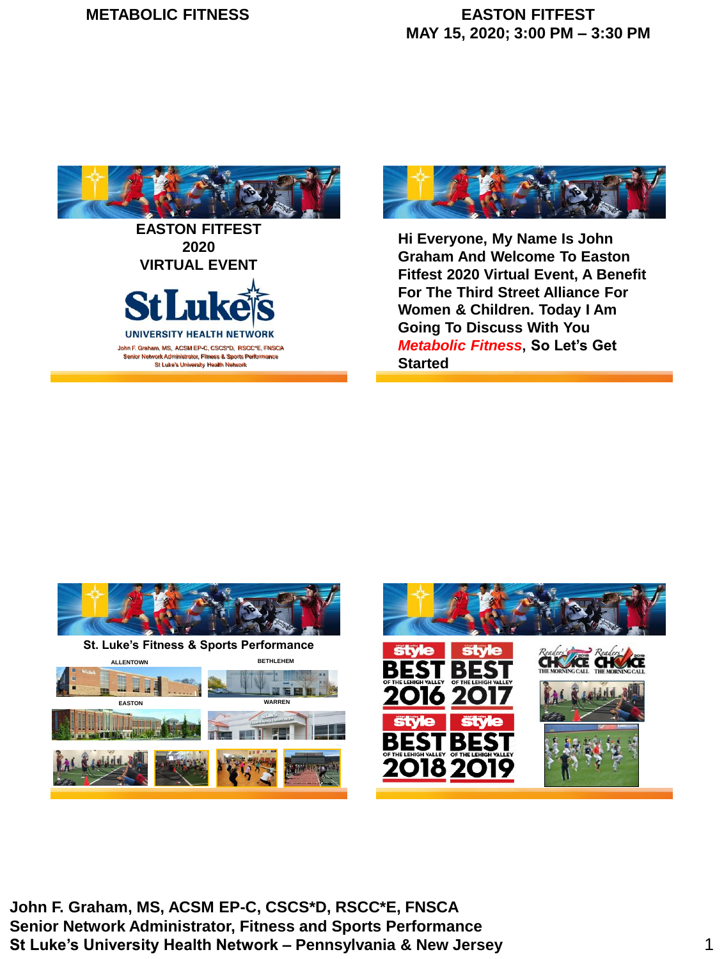





**Hi Everyone, My Name Is John Graham And Welcome To Easton Fitfest 2020 Virtual Event, A Benefit For The Third Street Alliance For Women & Children. Today I Am Going To Discuss With You**  *Metabolic Fitness***, So Let's Get Started**



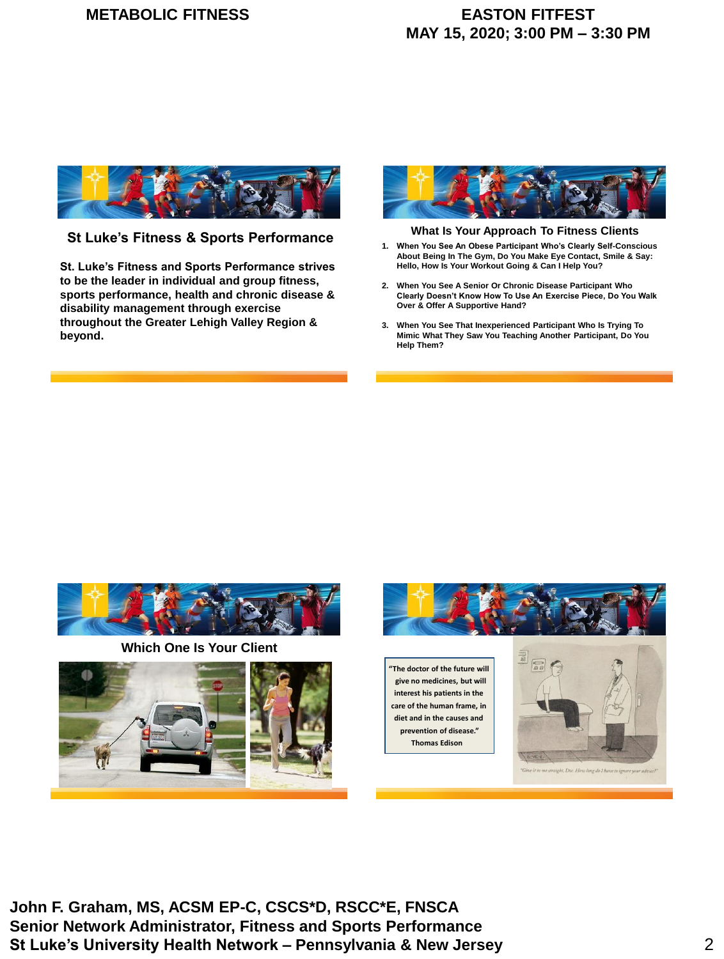

**St Luke's Fitness & Sports Performance What Is Your Approach To Fitness Clients**

**St. Luke's Fitness and Sports Performance strives to be the leader in individual and group fitness, sports performance, health and chronic disease & disability management through exercise throughout the Greater Lehigh Valley Region & beyond.**



- **1. When You See An Obese Participant Who's Clearly Self-Conscious About Being In The Gym, Do You Make Eye Contact, Smile & Say: Hello, How Is Your Workout Going & Can I Help You?**
- **2. When You See A Senior Or Chronic Disease Participant Who Clearly Doesn't Know How To Use An Exercise Piece, Do You Walk Over & Offer A Supportive Hand?**
- **3. When You See That Inexperienced Participant Who Is Trying To Mimic What They Saw You Teaching Another Participant, Do You Help Them?**



**Which One Is Your Client**



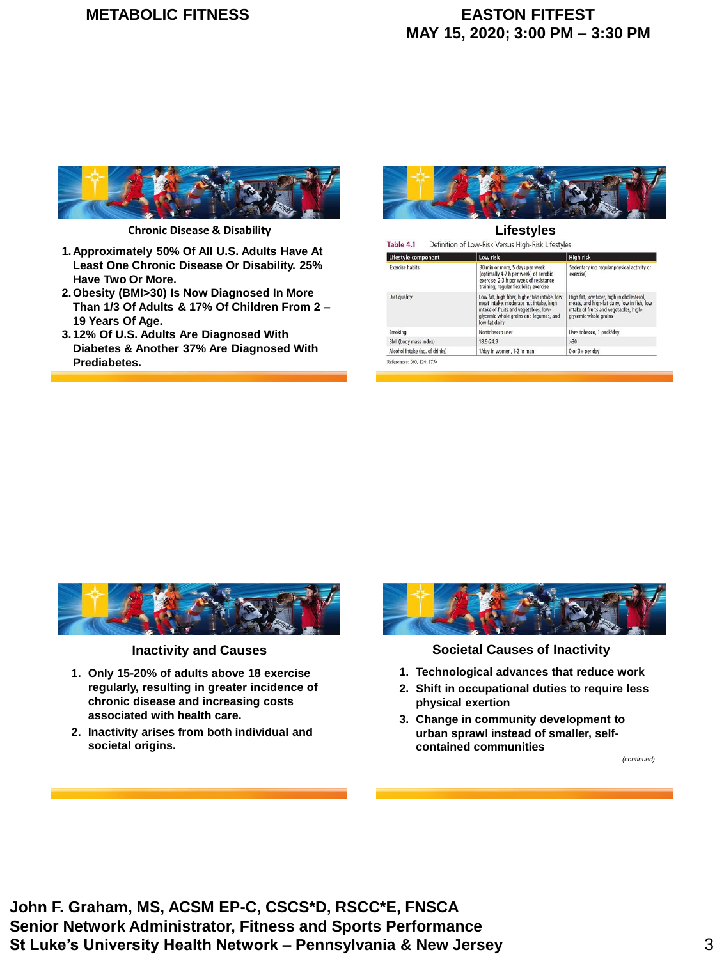# **METABOLIC FITNESS EASTON FITFEST**

# **MAY 15, 2020; 3:00 PM – 3:30 PM**



**Chronic Disease & Disability**

- **1.Approximately 50% Of All U.S. Adults Have At Least One Chronic Disease Or Disability. 25% Have Two Or More.**
- **2.Obesity (BMI>30) Is Now Diagnosed In More Than 1/3 Of Adults & 17% Of Children From 2 – 19 Years Of Age.**
- **3.12% Of U.S. Adults Are Diagnosed With Diabetes & Another 37% Are Diagnosed With Prediabetes.**



**Lifestyles** Definition of Low-Risk Versus High-Risk Lifestyles Table 4.1 Lifestyle com Low risk High risk 30 min or more, 5 days per week<br>(optimally 4-7 h per week) of aerobic<br>exercise; 2-3 h per week of resistance<br>training; regular flexibility exercise **Exercise habits** Sedentary (no regular physical activity o exercise<sup>1</sup> Low fat, high fiber, higher fish intake, low<br>meat intake, moderate nut intake, high<br>intake of fruits and vegetables, low-<br>glycemic whole grains and legumes, and<br>low-fat dairy High fat, low fiber, high in cholesterol,<br>meats, and high-fat dairy, low in fish, low<br>intake of fruits and vegetables, high-<br>glycemic whole grains Diet quality Smoking Nontobacco use Uses tobacco, 1 pack/day BMI (body mass index) 18.9-24.9  $>30$ Alcohol intake (no. of drinks) 1/day in women, 1-2 in men 0 or 3+ per day References: (60, 124, 173)



**Inactivity and Causes**

- **1. Only 15-20% of adults above 18 exercise regularly, resulting in greater incidence of chronic disease and increasing costs associated with health care.**
- **2. Inactivity arises from both individual and societal origins.**



**Societal Causes of Inactivity**

- **1. Technological advances that reduce work**
- **2. Shift in occupational duties to require less physical exertion**
- **3. Change in community development to urban sprawl instead of smaller, selfcontained communities**

*(continued)*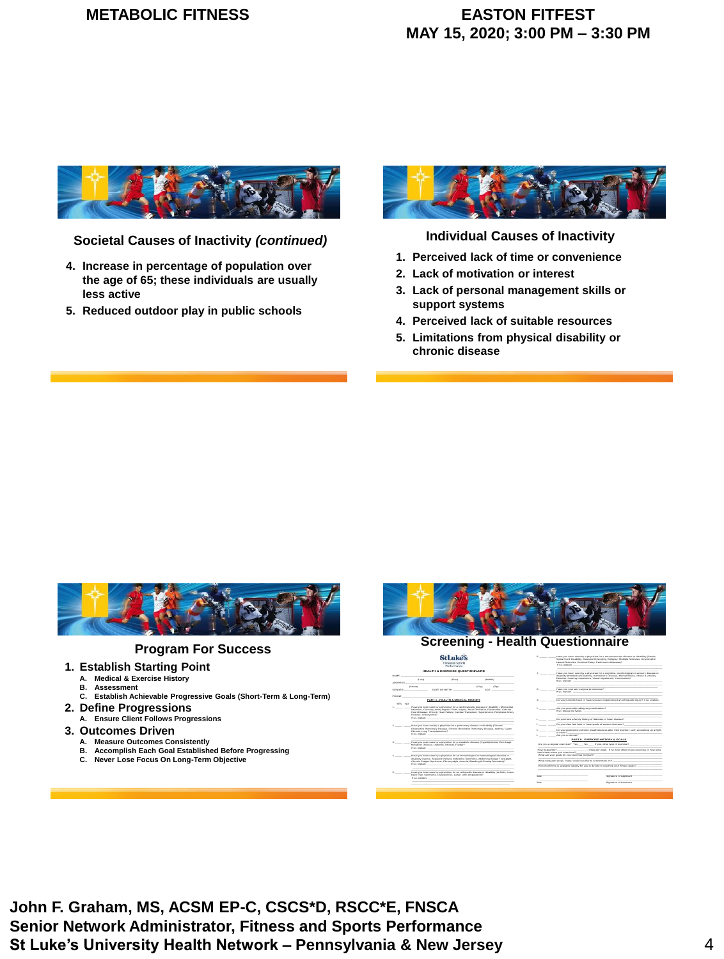

**Societal Causes of Inactivity** *(continued)*

- **4. Increase in percentage of population over the age of 65; these individuals are usually less active**
- **5. Reduced outdoor play in public schools**



**Individual Causes of Inactivity**

- **1. Perceived lack of time or convenience**
- **2. Lack of motivation or interest**
- **3. Lack of personal management skills or support systems**
- **4. Perceived lack of suitable resources**
- **5. Limitations from physical disability or chronic disease**



### **Program For Success**

### **1. Establish Starting Point**

- **A. Medical & Exercise History**
- **B. Assessment**
- **C. Establish Achievable Progressive Goals (Short-Term & Long-Term) 2. Define Progressions**
- **A. Ensure Client Follows Progressions**
- **3. Outcomes Driven**
- **A. Measure Outcomes Consistently**
	- **B. Accomplish Each Goal Established Before Progressing**
	- **C. Never Lose Focus On Long-Term Objective**



|               | <b>HEALTH A EXERCISE OUESTIONNAIDE</b>                                                                                                                                                                                         | Have you been seen by a shouldan for a contribue, psychological or sensory disease or                                                    |
|---------------|--------------------------------------------------------------------------------------------------------------------------------------------------------------------------------------------------------------------------------|------------------------------------------------------------------------------------------------------------------------------------------|
| <b>MARINE</b> |                                                                                                                                                                                                                                | $\mathcal{F}$<br>disability (briefindual Disability, Alabermer's Disease, Mental Brens, Stress & Analely                                 |
|               | G-MD<br>(First)<br><b>Children</b>                                                                                                                                                                                             | Disceller, Hearing Impairment, Visual Impairment, Concussion!7                                                                           |
| ADDNESSE      |                                                                                                                                                                                                                                | If so, explain. The contract of the contract of the contract of the contract of                                                          |
|               | (Street)<br><b>COM</b><br>CENA                                                                                                                                                                                                 |                                                                                                                                          |
| <b>SENDER</b> | AGE.<br>DATE OF BIRTH                                                                                                                                                                                                          | Have you ever any sumport procedures?<br>If so, explain. The contract of the contract of the contract of the contract of the contract of |
| PHONE         |                                                                                                                                                                                                                                |                                                                                                                                          |
| YES NO        | PART 1 - HEALTH & MEDICAL HISTORY                                                                                                                                                                                              | Do you currently have or have you ever experienced an orihonedo intury? If so, explain,                                                  |
|               | Have you been seen by a strugglan for a candiguascular disease or disability. (Myocardial                                                                                                                                      |                                                                                                                                          |
|               | Infantion, Corpoany Arlery Bygass Graft, Angera, Atrial Pitelbaban, Pacemaker, Valuater                                                                                                                                        | Are you presently taking any medications?                                                                                                |
|               | Head Disease, Chronic Heart Failure, Cardiac Transcient, Hyperbencon, Peripheral Arleny                                                                                                                                        |                                                                                                                                          |
|               | Disease, Annuncensit                                                                                                                                                                                                           |                                                                                                                                          |
|               | ET date, when dealers, and the contract of the contract of the contract of the contract of the contract of the contract of the contract of the contract of the contract of the contract of the contract of the contract of the | Do you have a family hostery of diabetes or heart disease?<br><b>Barrows</b>                                                             |
|               |                                                                                                                                                                                                                                | Do you often feet faird or have spells of severe discovers(7)                                                                            |
|               | Have you been see by a physician for a publishary disease or disability (Chronic)<br>Obstructive Publishary Disease, Chronic Resinctive Publishary Disease, Asthma, Cystic                                                     |                                                                                                                                          |
|               | Fibrosis, Luna Transplantator(7)                                                                                                                                                                                               | Do you experience extreme breathboughess after relid exection, such as walking up a flood<br><b>Contract Contract</b>                    |
|               | ET data, medidaten, et al. et al. et al. et al. et al. et al. et al. et al. et al. et al. et al. et al. et al.                                                                                                                 | of states?<br>1. Are you a smoker?                                                                                                       |
|               |                                                                                                                                                                                                                                |                                                                                                                                          |
|               | Have you been seen by a strugglantsr a metabolic disease (Hubertosterga, End Stage)                                                                                                                                            | PART II - EXERCISE HISTORY & GOALS                                                                                                       |
|               | Metabolo Disease, Diabetes, Obesty, Francis                                                                                                                                                                                    | Ann you a requise executive? Yes No. 1996 West, what type of executive?                                                                  |
|               |                                                                                                                                                                                                                                |                                                                                                                                          |
|               |                                                                                                                                                                                                                                | Tons it been since you executed?                                                                                                         |
|               | Have you been seen by a strugglants in an immunitionial or hematological disorder or                                                                                                                                           | What are your goals for your execute program?                                                                                            |
|               | disability (cancer, Acquired Instrume Debutency Syndhistie, Abdominat Organ Transplant,                                                                                                                                        | What body oad areas, if any would you the to concentrate on?                                                                             |
|               | Chronic Fallous Syndrome, Fibronyabile, Anerica, Beeding & Chilling Disorders ??                                                                                                                                               |                                                                                                                                          |
|               | If no, mephanic contract the contract of the contract of the contract of the contract of the contract of                                                                                                                       | Mow musch tanke is available weekly for you to devote to reachers your fitness coats?                                                    |
|               | Have you been seen by a physician for an orihopedic disease or disability (Arthritis, Lower                                                                                                                                    |                                                                                                                                          |
|               | Back Pam, Syndrome, Oldecocross, Lower Limb Ampubator (7)                                                                                                                                                                      | <b>Storydare of Apolloant</b><br><b>Sales</b>                                                                                            |
|               |                                                                                                                                                                                                                                |                                                                                                                                          |
|               |                                                                                                                                                                                                                                | <b>Zoonstare of Instructor</b><br><b>Sales</b>                                                                                           |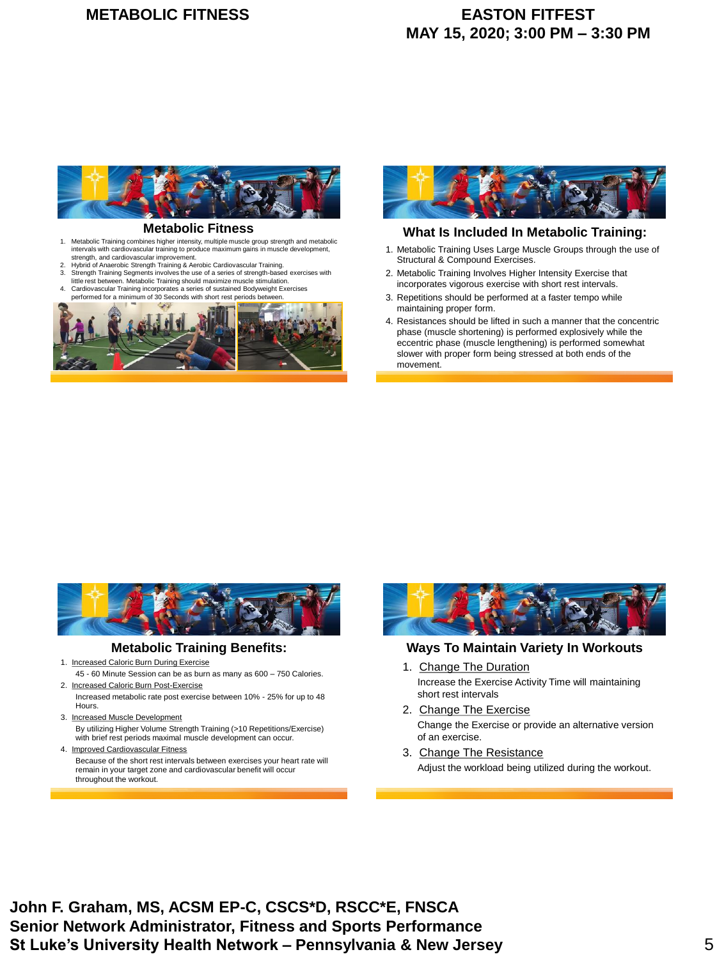

### **Metabolic Fitness**

- 1. Metabolic Training combines higher intensity, multiple muscle group strength and metabolic intervals with cardiovascular training to produce maximum gains in muscle development, strength, and cardiovascular improvement.
- 2. Hybrid of Anaerobic Strength Training & Aerobic Cardiovascular Training.<br>2. Strength Training Segments involves the use of a series of strength base
- Strength Training Segments involves the use of a series of strength-based exercises with little rest between. Metabolic Training should maximize muscle stimulation. 4. Cardiovascular Training incorporates a series of sustained Bodyweight Exercises
- performance in the condition of 30 Seconds with short rest periods between.





### **What Is Included In Metabolic Training:**

- 1. Metabolic Training Uses Large Muscle Groups through the use of Structural & Compound Exercises.
- 2. Metabolic Training Involves Higher Intensity Exercise that incorporates vigorous exercise with short rest intervals.
- 3. Repetitions should be performed at a faster tempo while maintaining proper form.
- 4. Resistances should be lifted in such a manner that the concentric phase (muscle shortening) is performed explosively while the eccentric phase (muscle lengthening) is performed somewhat slower with proper form being stressed at both ends of the movement.



### **Metabolic Training Benefits:**

- 1. Increased Caloric Burn During Exercise
- 45 60 Minute Session can be as burn as many as 600 750 Calories. 2. Increased Caloric Burn Post-Exercise
- Increased metabolic rate post exercise between 10% 25% for up to 48 Hours.
- 3. Increased Muscle Development By utilizing Higher Volume Strength Training (>10 Repetitions/Exercise) with brief rest periods maximal muscle development can occur.
- 4. Improved Cardiovascular Fitness Because of the short rest intervals between exercises your heart rate will remain in your target zone and cardiovascular benefit will occur throughout the workout.



### **Ways To Maintain Variety In Workouts**

- 1. Change The Duration Increase the Exercise Activity Time will maintaining short rest intervals
- 2. Change The Exercise Change the Exercise or provide an alternative version of an exercise.
- 3. Change The Resistance Adjust the workload being utilized during the workout.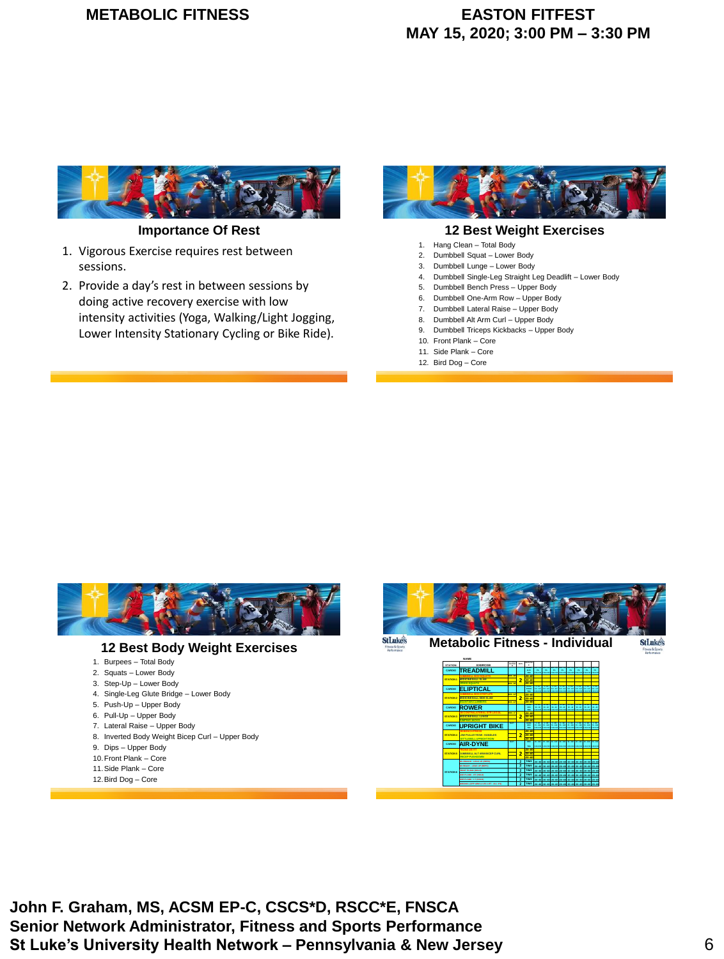# **METABOLIC FITNESS EASTON FITFEST**

# **MAY 15, 2020; 3:00 PM – 3:30 PM**



**Importance Of Rest**

- 1. Vigorous Exercise requires rest between sessions.
- 2. Provide a day's rest in between sessions by doing active recovery exercise with low intensity activities (Yoga, Walking/Light Jogging, Lower Intensity Stationary Cycling or Bike Ride).



### **12 Best Weight Exercises**

- 1. Hang Clean Total Body
- 2. Dumbbell Squat Lower Body
- 3. Dumbbell Lunge Lower Body
- 4. Dumbbell Single-Leg Straight Leg Deadlift Lower Body
- 5. Dumbbell Bench Press Upper Body
- 6. Dumbbell One-Arm Row Upper Body
- 7. Dumbbell Lateral Raise Upper Body
- 8. Dumbbell Alt Arm Curl Upper Body 9. Dumbbell Triceps Kickbacks – Upper Body
- 
- 10. Front Plank Core 11. Side Plank – Core
- 12. Bird Dog Core



- 5. Push-Up Upper Body
- 6. Pull-Up Upper Body
- 7. Lateral Raise Upper Body
- 8. Inverted Body Weight Bicep Curl Upper Body
- 9. Dips Upper Body
- 10.Front Plank Core
- 11.Side Plank Core
- 12.Bird Dog Core

**StLuke's Metabolic Fitness - Individual**



**StLuke's**